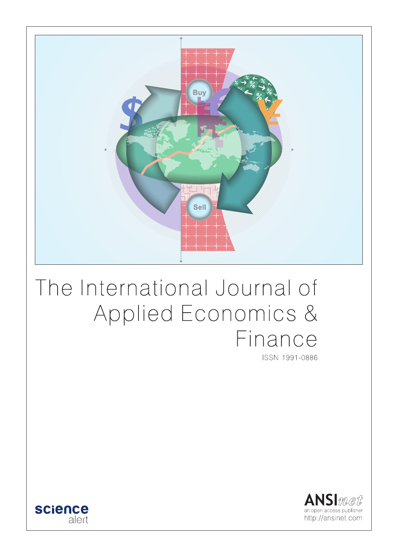

# The International Journal of Applied Economics & Finance

ISSN 1991-0886



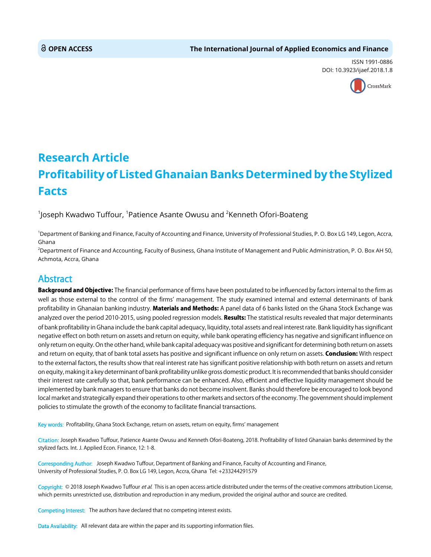ISSN 1991-0886 DOI: 10.3923/ijaef.2018.1.8



## **Research Article Profitability of Listed Ghanaian Banks Determined by the Stylized Facts**

 $^1$ Joseph Kwadwo Tuffour,  $^1$ Patience Asante Owusu and  $^2$ Kenneth Ofori-Boateng

1 Department of Banking and Finance, Faculty of Accounting and Finance, University of Professional Studies, P. O. Box LG 149, Legon, Accra, Ghana

2 Department of Finance and Accounting, Faculty of Business, Ghana Institute of Management and Public Administration, P. O. Box AH 50, Achmota, Accra, Ghana

### Abstract

Background and Objective: The financial performance of firms have been postulated to be influenced by factors internal to the firm as well as those external to the control of the firms' management. The study examined internal and external determinants of bank profitability in Ghanaian banking industry. Materials and Methods: A panel data of 6 banks listed on the Ghana Stock Exchange was analyzed over the period 2010-2015, using pooled regression models. Results: The statistical results revealed that major determinants of bank profitability in Ghana include the bank capital adequacy, liquidity, total assets and real interest rate. Bank liquidity has significant negative effect on both return on assets and return on equity, while bank operating efficiency has negative and significant influence on only return on equity. On the other hand, while bank capital adequacy was positive and significant for determining both return on assets and return on equity, that of bank total assets has positive and significant influence on only return on assets. Conclusion: With respect to the external factors, the results show that real interest rate has significant positive relationship with both return on assets and return on equity, making it a key determinant of bank profitability unlike gross domestic product. It is recommended that banks should consider their interest rate carefully so that, bank performance can be enhanced. Also, efficient and effective liquidity management should be implemented by bank managers to ensure that banks do not become insolvent. Banks should therefore be encouraged to look beyond local market and strategically expand their operations to other markets and sectors of the economy. The government should implement policies to stimulate the growth of the economy to facilitate financial transactions.

Key words: Profitability, Ghana Stock Exchange, return on assets, return on equity, firms' management

Citation: Joseph Kwadwo Tuffour, Patience Asante Owusu and Kenneth Ofori-Boateng, 2018. Profitability of listed Ghanaian banks determined by the stylized facts. Int. J. Applied Econ. Finance, 12: 1-8.

Corresponding Author: Joseph Kwadwo Tuffour, Department of Banking and Finance, Faculty of Accounting and Finance, University of Professional Studies, P. O. Box LG 149, Legon, Accra, Ghana Tel: +233244291579

Copyright: © 2018 Joseph Kwadwo Tuffour et al. This is an open access article distributed under the terms of the creative commons attribution License, which permits unrestricted use, distribution and reproduction in any medium, provided the original author and source are credited.

Competing Interest: The authors have declared that no competing interest exists.

Data Availability: All relevant data are within the paper and its supporting information files.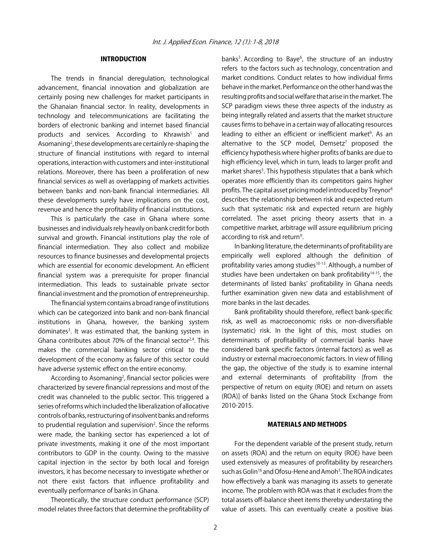#### INTRODUCTION

The trends in financial deregulation, technological advancement, financial innovation and globalization are certainly posing new challenges for market participants in the Ghanaian financial sector. In reality, developments in technology and telecommunications are facilitating the borders of electronic banking and internet based financial products and services. According to Khrawish<sup>1</sup> and Asomaning<sup>2</sup>, these developments are certainly re-shaping the structure of financial institutions with regard to internal operations, interaction with customers and inter-institutional relations. Moreover, there has been a proliferation of new financial services as well as overlapping of markets activities between banks and non-bank financial intermediaries. All these developments surely have implications on the cost, revenue and hence the profitability of financial institutions.

This is particularly the case in Ghana where some businesses and individuals rely heavily on bank credit for both survival and growth. Financial institutions play the role of financial intermediation. They also collect and mobilize resources to finance businesses and developmental projects which are essential for economic development. An efficient financial system was a prerequisite for proper financial intermediation. This leads to sustainable private sector financial investment and the promotion of entrepreneurship.

The financial system contains a broad range of institutions which can be categorized into bank and non-bank financial institutions in Ghana, however, the banking system dominates<sup>3</sup>. It was estimated that, the banking system in Ghana contributes about 70% of the financial sector<sup>2,4</sup>. This makes the commercial banking sector critical to the development of the economy as failure of this sector could have adverse systemic effect on the entire economy.

According to Asomaning<sup>2</sup>, financial sector policies were characterized by severe financial repressions and most of the credit was channeled to the public sector. This triggered a series of reforms which included the liberalization of allocative controls of banks, restructuring of insolvent banks and reforms to prudential regulation and supervision<sup>2</sup>. Since the reforms were made, the banking sector has experienced a lot of private investments, making it one of the most important contributors to GDP in the county. Owing to the massive capital injection in the sector by both local and foreign investors, it has become necessary to investigate whether or not there exist factors that influence profitability and eventually performance of banks in Ghana.

Theoretically, the structure conduct performance (SCP) model relates three factors that determine the profitability of

banks<sup>5</sup>. According to Baye<sup>6</sup>, the structure of an industry refers to the factors such as technology, concentration and market conditions. Conduct relates to how individual firms behave in the market. Performance on the other hand was the resulting profits and social welfare that arise in the market. The SCP paradigm views these three aspects of the industry as being integrally related and asserts that the market structure causes firms to behave in a certain way of allocating resources leading to either an efficient or inefficient market<sup>6</sup>. As an alternative to the SCP model, Demsetz<sup>7</sup> proposed the efficiency hypothesis where higher profits of banks are due to high efficiency level, which in turn, leads to larger profit and market shares<sup>5</sup>. This hypothesis stipulates that a bank which operates more efficiently than its competitors gains higher profits. The capital asset pricing model introduced by Treynor8 describes the relationship between risk and expected return such that systematic risk and expected return are highly correlated. The asset pricing theory asserts that in a competitive market, arbitrage will assure equilibrium pricing according to risk and return<sup>9</sup>.

In banking literature, the determinants of profitability are empirically well explored although the definition of profitability varies among studies<sup>10-13</sup>. Although, a number of studies have been undertaken on bank profitability $14-15$ , the determinants of listed banks' profitability in Ghana needs further examination given new data and establishment of more banks in the last decades.

Bank profitability should therefore, reflect bank-specific risk, as well as macroeconomic risks or non-diversifiable (systematic) risk. In the light of this, most studies on determinants of profitability of commercial banks have considered bank specific factors (internal factors) as well as industry or external macroeconomic factors. In view of filling the gap, the objective of the study is to examine internal and external determinants of profitability [from the perspective of return on equity (ROE) and return on assets (ROA)] of banks listed on the Ghana Stock Exchange from 2010-2015.

#### MATERIALS AND METHODS

For the dependent variable of the present study, return on assets (ROA) and the return on equity (ROE) have been used extensively as measures of profitability by researchers such as Golin<sup>16</sup> and Ofosu-Hene and Amoh<sup>3</sup>. The ROA indicates how effectively a bank was managing its assets to generate income. The problem with ROA was that it excludes from the total assets off-balance sheet items thereby understating the value of assets. This can eventually create a positive bias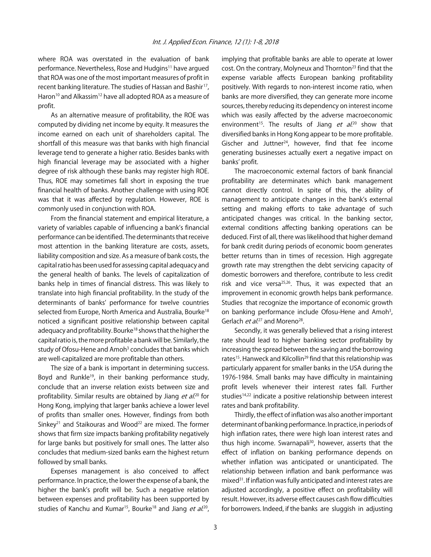where ROA was overstated in the evaluation of bank performance. Nevertheless, Rose and Hudgins<sup>11</sup> have argued that ROA was one of the most important measures of profit in recent banking literature. The studies of Hassan and Bashir<sup>17</sup>, Haron<sup>10</sup> and Alkassim<sup>12</sup> have all adopted ROA as a measure of profit.

As an alternative measure of profitability, the ROE was computed by dividing net income by equity. It measures the income earned on each unit of shareholders capital. The shortfall of this measure was that banks with high financial leverage tend to generate a higher ratio. Besides banks with high financial leverage may be associated with a higher degree of risk although these banks may register high ROE. Thus, ROE may sometimes fall short in exposing the true financial health of banks. Another challenge with using ROE was that it was affected by regulation. However, ROE is commonly used in conjunction with ROA.

From the financial statement and empirical literature, a variety of variables capable of influencing a bank's financial performance can be identified. The determinants that receive most attention in the banking literature are costs, assets, liability composition and size. As a measure of bank costs, the capital ratio has been used for assessing capital adequacy and the general health of banks. The levels of capitalization of banks help in times of financial distress. This was likely to translate into high financial profitability. In the study of the determinants of banks' performance for twelve countries selected from Europe, North America and Australia, Bourke<sup>18</sup> noticed a significant positive relationship between capital adequacy and profitability. Bourke<sup>18</sup> shows that the higher the capital ratio is, the more profitable a bank will be. Similarly, the study of Ofosu-Hene and Amoh<sup>3</sup> concludes that banks which are well-capitalized are more profitable than others.

The size of a bank is important in determining success. Boyd and Runkle<sup>19</sup>, in their banking performance study, conclude that an inverse relation exists between size and profitability. Similar results are obtained by Jiang et al.<sup>20</sup> for Hong Kong, implying that larger banks achieve a lower level of profits than smaller ones. However, findings from both Sinkey<sup>21</sup> and Staikouras and Wood<sup>22</sup> are mixed. The former shows that firm size impacts banking profitability negatively for large banks but positively for small ones. The latter also concludes that medium-sized banks earn the highest return followed by small banks.

Expenses management is also conceived to affect performance. In practice, the lower the expense of a bank, the higher the bank's profit will be. Such a negative relation between expenses and profitability has been supported by studies of Kanchu and Kumar<sup>15</sup>, Bourke<sup>18</sup> and Jiang *et al.*<sup>20</sup>,

implying that profitable banks are able to operate at lower cost. On the contrary, Molyneux and Thornton<sup>23</sup> find that the expense variable affects European banking profitability positively. With regards to non-interest income ratio, when banks are more diversified, they can generate more income sources, thereby reducing its dependency on interest income which was easily affected by the adverse macroeconomic environment<sup>15</sup>. The results of Jiang *et al.*<sup>20</sup> show that diversified banks in Hong Kong appear to be more profitable. Gischer and Juttner<sup>24</sup>, however, find that fee income generating businesses actually exert a negative impact on banks' profit.

The macroeconomic external factors of bank financial profitability are determinates which bank management cannot directly control. In spite of this, the ability of management to anticipate changes in the bank's external setting and making efforts to take advantage of such anticipated changes was critical. In the banking sector, external conditions affecting banking operations can be deduced. First of all, there was likelihood that higher demand for bank credit during periods of economic boom generates better returns than in times of recession. High aggregate growth rate may strengthen the debt servicing capacity of domestic borrowers and therefore, contribute to less credit risk and vice versa<sup>25,26</sup>. Thus, it was expected that an improvement in economic growth helps bank performance. Studies that recognize the importance of economic growth on banking performance include Ofosu-Hene and Amoh<sup>3</sup>, Gerlach *et al.*<sup>27</sup> and Moreno<sup>28</sup>.

Secondly, it was generally believed that a rising interest rate should lead to higher banking sector profitability by increasing the spread between the saving and the borrowing rates<sup>15</sup>. Hanweck and Kilcollin<sup>29</sup> find that this relationship was particularly apparent for smaller banks in the USA during the 1976-1984. Small banks may have difficulty in maintaining profit levels whenever their interest rates fall. Further studies<sup>14,22</sup> indicate a positive relationship between interest rates and bank profitability.

Thirdly, the effect of inflation was also another important determinant of banking performance. In practice, in periods of high inflation rates, there were high loan interest rates and thus high income. Swarnapali<sup>30</sup>, however, asserts that the effect of inflation on banking performance depends on whether inflation was anticipated or unanticipated. The relationship between inflation and bank performance was mixed31. If inflation was fully anticipated and interest rates are adjusted accordingly, a positive effect on profitability will result. However, its adverse effect causes cash flow difficulties for borrowers. Indeed, if the banks are sluggish in adjusting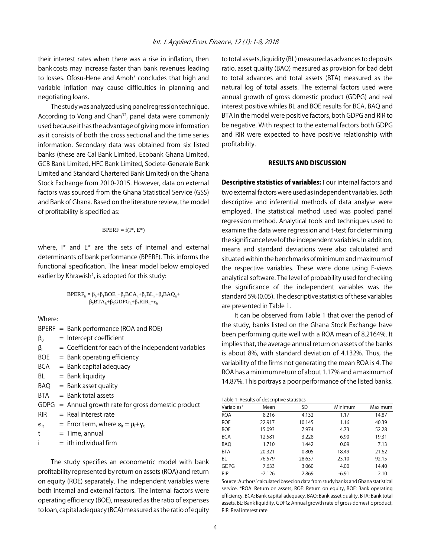their interest rates when there was a rise in inflation, then bank costs may increase faster than bank revenues leading to losses. Ofosu-Hene and Amoh<sup>3</sup> concludes that high and variable inflation may cause difficulties in planning and negotiating loans.

The study was analyzed using panel regression technique. According to Vong and Chan<sup>32</sup>, panel data were commonly used because it has the advantage of giving more information as it consists of both the cross sectional and the time series information. Secondary data was obtained from six listed banks (these are Cal Bank Limited, Ecobank Ghana Limited, GCB Bank Limited, HFC Bank Limited, Societe-Generale Bank Limited and Standard Chartered Bank Limited) on the Ghana Stock Exchange from 2010-2015. However, data on external factors was sourced from the Ghana Statistical Service (GSS) and Bank of Ghana. Based on the literature review, the model of profitability is specified as:

$$
BPERF = f(I^*, E^*)
$$

where, I\* and E\* are the sets of internal and external determinants of bank performance (BPERF). This informs the functional specification. The linear model below employed earlier by Khrawish<sup>1</sup>, is adopted for this study:

$$
BPERF_{it} = \beta_0 + \beta_1 BOE_{it} + \beta_2 BCA_{it} + \beta_3 BL_{it} + \beta_4 BAQ_{it} + \beta_5 BTA_{it} + \beta_6 GDPG_{it} + \beta_7 RIR_{it} + \epsilon_{it}
$$

Where:

|                 | $BPERF = Bank performance (ROA and ROE)$                  |
|-----------------|-----------------------------------------------------------|
| $\beta_0$       | $=$ Intercept coefficient                                 |
| $\beta_i$       | $=$ Coefficient for each of the independent variables     |
| BOE             | $=$ Bank operating efficiency                             |
| <b>BCA</b>      | $=$ Bank capital adequacy                                 |
| BL              | $=$ Bank liquidity                                        |
| BAQ             | $=$ Bank asset quality                                    |
| BTA             | $=$ Bank total assets                                     |
|                 | $GDPG =$ Annual growth rate for gross domestic product    |
| <b>RIR</b>      | $=$ Real interest rate                                    |
| $\epsilon_{it}$ | = Error term, where $\varepsilon_{it} = \mu_i + \gamma_t$ |
| t               | $=$ Time, annual                                          |
| ÷.              | $=$ ith individual firm                                   |

The study specifies an econometric model with bank profitability represented by return on assets (ROA) and return on equity (ROE) separately. The independent variables were both internal and external factors. The internal factors were operating efficiency (BOE), measured as the ratio of expenses to loan, capital adequacy (BCA) measured as the ratio of equity

to total assets, liquidity (BL) measured as advances to deposits ratio, asset quality (BAQ) measured as provision for bad debt to total advances and total assets (BTA) measured as the natural log of total assets. The external factors used were annual growth of gross domestic product (GDPG) and real interest positive whiles BL and BOE results for BCA, BAQ and BTA in the model were positive factors, both GDPG and RIR to be negative. With respect to the external factors both GDPG and RIR were expected to have positive relationship with profitability.

#### RESULTS AND DISCUSSION

Descriptive statistics of variables: Four internal factors and two external factors were used as independent variables. Both descriptive and inferential methods of data analyse were employed. The statistical method used was pooled panel regression method. Analytical tools and techniques used to examine the data were regression and t-test for determining the significance level of the independent variables. In addition, means and standard deviations were also calculated and situated within the benchmarks of minimum and maximum of the respective variables. These were done using E-views analytical software. The level of probability used for checking the significance of the independent variables was the standard 5% (0.05). The descriptive statistics of these variables are presented in Table 1.

It can be observed from Table 1 that over the period of the study, banks listed on the Ghana Stock Exchange have been performing quite well with a ROA mean of 8.2164%. It implies that, the average annual return on assets of the banks is about 8%, with standard deviation of 4.132%. Thus, the variability of the firms not generating the mean ROA is 4. The ROA has a minimum return of about 1.17% and a maximum of 14.87%. This portrays a poor performance of the listed banks.

| Table 1: Results of descriptive statistics |  |  |  |
|--------------------------------------------|--|--|--|
|--------------------------------------------|--|--|--|

| Variables*  | Mean     | <b>SD</b> | Minimum | Maximum |  |
|-------------|----------|-----------|---------|---------|--|
| <b>ROA</b>  | 8.216    | 4.132     | 1.17    | 14.87   |  |
| <b>ROE</b>  | 22.917   | 10.145    | 1.16    | 40.39   |  |
| <b>BOE</b>  | 15.093   | 7.974     | 4.73    | 52.28   |  |
| <b>BCA</b>  | 12.581   | 3.228     | 6.90    | 19.31   |  |
| <b>BAQ</b>  | 1.710    | 1.442     | 0.09    | 7.13    |  |
| <b>BTA</b>  | 20.321   | 0.805     | 18.49   | 21.62   |  |
| <b>BL</b>   | 76.579   | 28.637    | 23.10   | 92.15   |  |
| <b>GDPG</b> | 7.633    | 3.060     | 4.00    | 14.40   |  |
| <b>RIR</b>  | $-2.126$ | 2.869     | $-6.91$ | 2.10    |  |

Source: Authors' calculated based on data from study banks and Ghana statistical service. \*ROA: Return on assets, ROE: Return on equity, BOE: Bank operating efficiency, BCA: Bank capital adequacy, BAQ: Bank asset quality, BTA: Bank total assets, BL: Bank liquidity, GDPG: Annual growth rate of gross domestic product, RIR: Real interest rate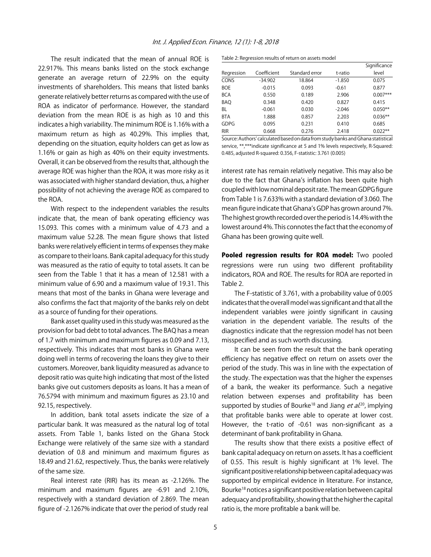The result indicated that the mean of annual ROE is 22.917%. This means banks listed on the stock exchange generate an average return of 22.9% on the equity investments of shareholders. This means that listed banks generate relatively better returns as compared with the use of ROA as indicator of performance. However, the standard deviation from the mean ROE is as high as 10 and this indicates a high variability. The minimum ROE is 1.16% with a maximum return as high as 40.29%. This implies that, depending on the situation, equity holders can get as low as 1.16% or gain as high as 40% on their equity investments. Overall, it can be observed from the results that, although the average ROE was higher than the ROA, it was more risky as it was associated with higher standard deviation, thus, a higher possibility of not achieving the average ROE as compared to the ROA.

With respect to the independent variables the results indicate that, the mean of bank operating efficiency was 15.093. This comes with a minimum value of 4.73 and a maximum value 52.28. The mean figure shows that listed banks were relatively efficient in terms of expenses they make as compare to their loans. Bank capital adequacy for this study was measured as the ratio of equity to total assets. It can be seen from the Table 1 that it has a mean of 12.581 with a minimum value of 6.90 and a maximum value of 19.31. This means that most of the banks in Ghana were leverage and also confirms the fact that majority of the banks rely on debt as a source of funding for their operations.

Bank asset quality used in this study was measured as the provision for bad debt to total advances. The BAQ has a mean of 1.7 with minimum and maximum figures as 0.09 and 7.13, respectively. This indicates that most banks in Ghana were doing well in terms of recovering the loans they give to their customers. Moreover, bank liquidity measured as advance to deposit ratio was quite high indicating that most of the listed banks give out customers deposits as loans. It has a mean of 76.5794 with minimum and maximum figures as 23.10 and 92.15, respectively.

In addition, bank total assets indicate the size of a particular bank. It was measured as the natural log of total assets. From Table 1, banks listed on the Ghana Stock Exchange were relatively of the same size with a standard deviation of 0.8 and minimum and maximum figures as 18.49 and 21.62, respectively. Thus, the banks were relatively of the same size.

Real interest rate (RIR) has its mean as -2.126%. The minimum and maximum figures are -6.91 and 2.10%, respectively with a standard deviation of 2.869. The mean figure of -2.1267% indicate that over the period of study real

Table 2: Regression results of return on assets model

|             |             |                |          | Significance |
|-------------|-------------|----------------|----------|--------------|
| Regression  | Coefficient | Standard error | t-ratio  | level        |
| CONS        | $-34.902$   | 18.864         | $-1.850$ | 0.075        |
| <b>BOE</b>  | $-0.015$    | 0.093          | $-0.61$  | 0.877        |
| <b>BCA</b>  | 0.550       | 0.189          | 2.906    | $0.007***$   |
| <b>BAQ</b>  | 0.348       | 0.420          | 0.827    | 0.415        |
| <b>BL</b>   | $-0.061$    | 0.030          | $-2.046$ | $0.050**$    |
| <b>BTA</b>  | 1.888       | 0.857          | 2.203    | $0.036**$    |
| <b>GDPG</b> | 0.095       | 0.231          | 0.410    | 0.685        |
| <b>RIR</b>  | 0.668       | 0.276          | 2.418    | $0.022**$    |

Source: Authors' calculated based on data from study banks and Ghana statistical service, \*\*,\*\*\*indicate significance at 5 and 1% levels respectively, R-Squared: 0.485, adjusted R-squared: 0.356, F-statistic: 3.761 (0.005)

interest rate has remain relatively negative. This may also be due to the fact that Ghana's inflation has been quite high coupled with low nominal deposit rate. The mean GDPG figure from Table 1 is 7.633% with a standard deviation of 3.060. The mean figure indicate that Ghana's GDP has grown around 7%. The highest growth recorded over the period is 14.4% with the lowest around 4%. This connotes the fact that the economy of Ghana has been growing quite well.

Pooled regression results for ROA model: Two pooled regressions were run using two different profitability indicators, ROA and ROE. The results for ROA are reported in Table 2.

The F-statistic of 3.761, with a probability value of 0.005 indicates that the overall model was significant and that all the independent variables were jointly significant in causing variation in the dependent variable. The results of the diagnostics indicate that the regression model has not been misspecified and as such worth discussing.

It can be seen from the result that the bank operating efficiency has negative effect on return on assets over the period of the study. This was in line with the expectation of the study. The expectation was that the higher the expenses of a bank, the weaker its performance. Such a negative relation between expenses and profitability has been supported by studies of Bourke<sup>18</sup> and Jiang *et al.*<sup>20</sup>, implying that profitable banks were able to operate at lower cost. However, the t-ratio of -0.61 was non-significant as a determinant of bank profitability in Ghana.

The results show that there exists a positive effect of bank capital adequacy on return on assets. It has a coefficient of 0.55. This result is highly significant at 1% level. The significant positive relationship between capital adequacy was supported by empirical evidence in literature. For instance, Bourke18 notices a significant positive relation between capital adequacy and profitability, showing that the higher the capital ratio is, the more profitable a bank will be.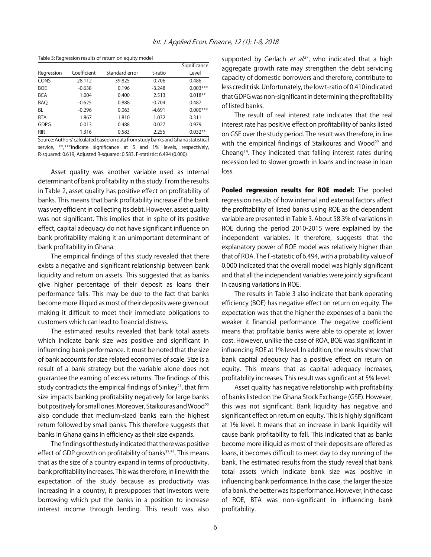|             |             |                |          | Significance |
|-------------|-------------|----------------|----------|--------------|
| Regression  | Coefficient | Standard error | t-ratio  | Level        |
| CONS        | 28.112      | 39.825         | 0.706    | 0.486        |
| <b>BOE</b>  | $-0.638$    | 0.196          | $-3.248$ | $0.003***$   |
| <b>BCA</b>  | 1.004       | 0.400          | 2.513    | $0.018**$    |
| <b>BAQ</b>  | $-0.625$    | 0.888          | $-0.704$ | 0.487        |
| <b>BL</b>   | $-0.296$    | 0.063          | $-4.691$ | $0.000***$   |
| <b>BTA</b>  | 1.867       | 1.810          | 1.032    | 0.311        |
| <b>GDPG</b> | 0.013       | 0.488          | 0.027    | 0.979        |
| <b>RIR</b>  | 1.316       | 0.583          | 2.255    | $0.032**$    |

Table 3: Regression results of return on equity model

Source: Authors' calculated based on data from study banks and Ghana statistical service, \*\*,\*\*\*indicate significance at 5 and 1% levels, respectively, R-squared: 0.619, Adjusted R-squared: 0.583, F-statistic: 6.494 (0.000)

Asset quality was another variable used as internal determinant of bank profitability in this study. From the results in Table 2, asset quality has positive effect on profitability of banks. This means that bank profitability increase if the bank was very efficient in collecting its debt. However, asset quality was not significant. This implies that in spite of its positive effect, capital adequacy do not have significant influence on bank profitability making it an unimportant determinant of bank profitability in Ghana.

The empirical findings of this study revealed that there exists a negative and significant relationship between bank liquidity and return on assets. This suggested that as banks give higher percentage of their deposit as loans their performance falls. This may be due to the fact that banks become more illiquid as most of their deposits were given out making it difficult to meet their immediate obligations to customers which can lead to financial distress.

The estimated results revealed that bank total assets which indicate bank size was positive and significant in influencing bank performance. It must be noted that the size of bank accounts for size related economies of scale. Size is a result of a bank strategy but the variable alone does not guarantee the earning of excess returns. The findings of this study contradicts the empirical findings of  $\text{Sinkev}^{21}$ , that firm size impacts banking profitability negatively for large banks but positively for small ones. Moreover, Staikouras and Wood<sup>22</sup> also conclude that medium-sized banks earn the highest return followed by small banks. This therefore suggests that banks in Ghana gains in efficiency as their size expands.

The findings of the study indicated that there was positive effect of GDP growth on profitability of banks<sup>33,34</sup>. This means that as the size of a country expand in terms of productivity, bank profitability increases. This was therefore, in line with the expectation of the study because as productivity was increasing in a country, it presupposes that investors were borrowing which put the banks in a position to increase interest income through lending. This result was also

supported by Gerlach *et al.*<sup>27</sup>, who indicated that a high aggregate growth rate may strengthen the debt servicing capacity of domestic borrowers and therefore, contribute to less credit risk. Unfortunately, the low t-ratio of 0.410 indicated that GDPG was non-significant in determining the profitability of listed banks.

The result of real interest rate indicates that the real interest rate has positive effect on profitability of banks listed on GSE over the study period. The result was therefore, in line with the empirical findings of Staikouras and Wood<sup>22</sup> and Cheang14. They indicated that falling interest rates during recession led to slower growth in loans and increase in loan loss.

Pooled regression results for ROE model: The pooled regression results of how internal and external factors affect the profitability of listed banks using ROE as the dependent variable are presented in Table 3. About 58.3% of variations in ROE during the period 2010-2015 were explained by the independent variables. It therefore, suggests that the explanatory power of ROE model was relatively higher than that of ROA. The F-statistic of 6.494, with a probability value of 0.000 indicated that the overall model was highly significant and that all the independent variables were jointly significant in causing variations in ROE.

The results in Table 3 also indicate that bank operating efficiency (BOE) has negative effect on return on equity. The expectation was that the higher the expenses of a bank the weaker it financial performance. The negative coefficient means that profitable banks were able to operate at lower cost. However, unlike the case of ROA, BOE was significant in influencing ROE at 1% level. In addition, the results show that bank capital adequacy has a positive effect on return on equity. This means that as capital adequacy increases, profitability increases. This result was significant at 5% level.

Asset quality has negative relationship with profitability of banks listed on the Ghana Stock Exchange (GSE). However, this was not significant. Bank liquidity has negative and significant effect on return on equity. This is highly significant at 1% level. It means that an increase in bank liquidity will cause bank profitability to fall. This indicated that as banks become more illiquid as most of their deposits are offered as loans, it becomes difficult to meet day to day running of the bank. The estimated results from the study reveal that bank total assets which indicate bank size was positive in influencing bank performance. In this case, the larger the size of a bank, the better was its performance. However, in the case of ROE, BTA was non-significant in influencing bank profitability.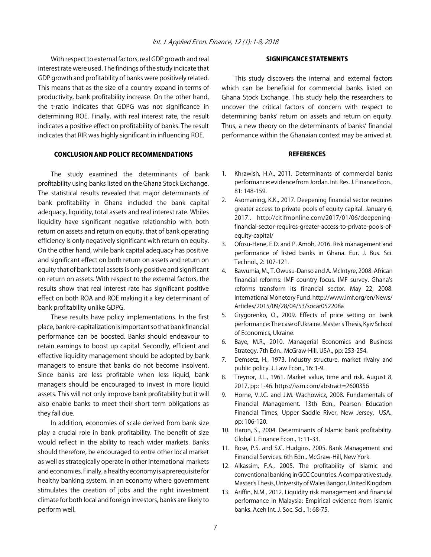With respect to external factors, real GDP growth and real interest rate were used. The findings of the study indicate that GDP growth and profitability of banks were positively related. This means that as the size of a country expand in terms of productivity, bank profitability increase. On the other hand, the t-ratio indicates that GDPG was not significance in determining ROE. Finally, with real interest rate, the result indicates a positive effect on profitability of banks. The result indicates that RIR was highly significant in influencing ROE.

#### CONCLUSION AND POLICY RECOMMENDATIONS

The study examined the determinants of bank profitability using banks listed on the Ghana Stock Exchange. The statistical results revealed that major determinants of bank profitability in Ghana included the bank capital adequacy, liquidity, total assets and real interest rate. Whiles liquidity have significant negative relationship with both return on assets and return on equity, that of bank operating efficiency is only negatively significant with return on equity. On the other hand, while bank capital adequacy has positive and significant effect on both return on assets and return on equity that of bank total assets is only positive and significant on return on assets. With respect to the external factors, the results show that real interest rate has significant positive effect on both ROA and ROE making it a key determinant of bank profitability unlike GDPG.

These results have policy implementations. In the first place, bank re-capitalization is important so that bank financial performance can be boosted. Banks should endeavour to retain earnings to boost up capital. Secondly, efficient and effective liquidity management should be adopted by bank managers to ensure that banks do not become insolvent. Since banks are less profitable when less liquid, bank managers should be encouraged to invest in more liquid assets. This will not only improve bank profitability but it will also enable banks to meet their short term obligations as they fall due.

In addition, economies of scale derived from bank size play a crucial role in bank profitability. The benefit of size would reflect in the ability to reach wider markets. Banks should therefore, be encouraged to entre other local market as well as strategically operate in other international markets and economies. Finally, a healthy economy is a prerequisite for healthy banking system. In an economy where government stimulates the creation of jobs and the right investment climate for both local and foreign investors, banks are likely to perform well.

#### SIGNIFICANCE STATEMENTS

This study discovers the internal and external factors which can be beneficial for commercial banks listed on Ghana Stock Exchange. This study help the researchers to uncover the critical factors of concern with respect to determining banks' return on assets and return on equity. Thus, a new theory on the determinants of banks' financial performance within the Ghanaian context may be arrived at.

#### **REFERENCES**

- 1. Khrawish, H.A., 2011. Determinants of commercial banks performance: evidence from Jordan. Int. Res. J. Finance Econ., 81: 148-159.
- 2. Asomaning, K.K., 2017. Deepening financial sector requires greater access to private pools of equity capital. January 6, 2017.. http://citifmonline.com/2017/01/06/deepeningfinancial-sector-requires-greater-access-to-private-pools-ofequity-capital/
- 3. Ofosu-Hene, E.D. and P. Amoh, 2016. Risk management and performance of listed banks in Ghana. Eur. J. Bus. Sci. Technol., 2: 107-121.
- 4. Bawumia, M., T. Owusu-Danso and A. McIntyre, 2008. African financial reforms: IMF country focus. IMF survey. Ghana's reforms transform its financial sector. May 22, 2008. International Monetory Fund. http://www.imf.org/en/News/ Articles/2015/09/28/04/53/socar052208a
- 5. Grygorenko, O., 2009. Effects of price setting on bank performance: The case of Ukraine. Master's Thesis, Kyiv School of Economics, Ukraine.
- 6. Baye, M.R., 2010. Managerial Economics and Business Strategy. 7th Edn., McGraw-Hill, USA., pp: 253-254.
- 7. Demsetz, H., 1973. Industry structure, market rivalry and public policy. J. Law Econ., 16: 1-9.
- 8. Treynor, J.L., 1961. Market value, time and risk. August 8, 2017, pp: 1-46. https://ssrn.com/abstract=2600356
- 9. Horne, V.J.C. and J.M. Wachowicz, 2008. Fundamentals of Financial Management. 13th Edn., Pearson Education Financial Times, Upper Saddle River, New Jersey, USA., pp: 106-120.
- 10. Haron, S., 2004. Determinants of Islamic bank profitability. Global J. Finance Econ., 1: 11-33.
- 11. Rose, P.S. and S.C. Hudgins, 2005. Bank Management and Financial Services. 6th Edn., McGraw-Hill, New York.
- 12. Alkassim, F.A., 2005. The profitability of Islamic and conventional banking in GCC Countries. A comparative study. Master's Thesis, University of Wales Bangor, United Kingdom.
- 13. Ariffin, N.M., 2012. Liquidity risk management and financial performance in Malaysia: Empirical evidence from Islamic banks. Aceh Int. J. Soc. Sci., 1: 68-75.